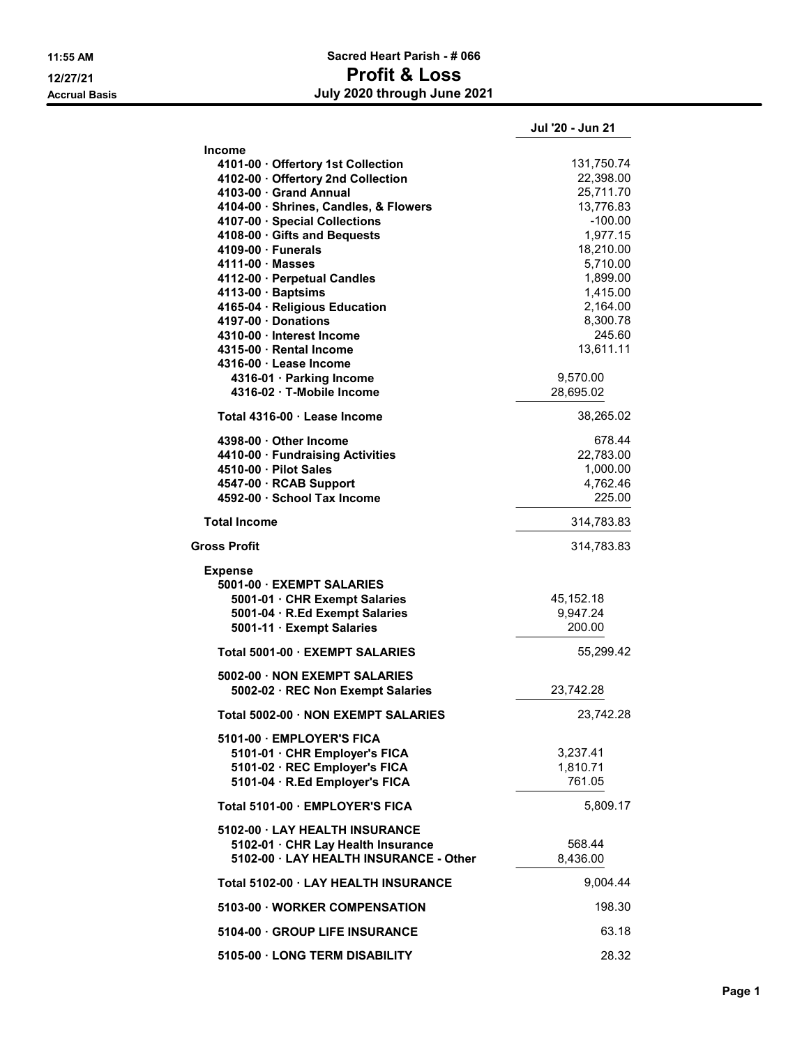## 11:55 AM Sacred Heart Parish - # 066 12/27/21 Profit & Loss Accrual Basis July 2020 through June 2021

|                                                           | Jul '20 - Jun 21     |
|-----------------------------------------------------------|----------------------|
| <b>Income</b>                                             |                      |
| 4101-00 · Offertory 1st Collection                        | 131,750.74           |
| 4102-00 · Offertory 2nd Collection                        | 22,398.00            |
| 4103-00 Grand Annual                                      | 25,711.70            |
| 4104-00 · Shrines, Candles, & Flowers                     | 13,776.83            |
| 4107-00 · Special Collections                             | $-100.00$            |
| 4108-00 · Gifts and Bequests                              | 1,977.15             |
| $4109-00 \cdot$ Funerals                                  | 18,210.00            |
| $4111-00 \cdot Masses$                                    | 5,710.00             |
| 4112-00 · Perpetual Candles                               | 1,899.00             |
| $4113-00 \cdot$ Baptsims<br>4165-04 · Religious Education | 1,415.00<br>2,164.00 |
| 4197-00 · Donations                                       | 8,300.78             |
| 4310-00 · Interest Income                                 | 245.60               |
| 4315-00 · Rental Income                                   | 13,611.11            |
| 4316-00 · Lease Income                                    |                      |
| 4316-01 · Parking Income                                  | 9,570.00             |
| 4316-02 · T-Mobile Income                                 | 28,695.02            |
|                                                           |                      |
| Total 4316-00 · Lease Income                              | 38,265.02            |
| 4398-00 · Other Income                                    | 678.44               |
| 4410-00 · Fundraising Activities                          | 22,783.00            |
| 4510-00 · Pilot Sales                                     | 1,000.00             |
| 4547-00 · RCAB Support                                    | 4,762.46             |
| 4592-00 · School Tax Income                               | 225.00               |
| <b>Total Income</b>                                       | 314,783.83           |
| Gross Profit                                              | 314,783.83           |
| <b>Expense</b>                                            |                      |
| 5001-00 · EXEMPT SALARIES                                 |                      |
| 5001-01 · CHR Exempt Salaries                             | 45, 152. 18          |
| 5001-04 · R.Ed Exempt Salaries                            | 9,947.24             |
| 5001-11 · Exempt Salaries                                 | 200.00               |
| Total 5001-00 · EXEMPT SALARIES                           | 55,299.42            |
| 5002-00 NON EXEMPT SALARIES                               |                      |
| 5002-02 · REC Non Exempt Salaries                         | 23,742.28            |
| Total 5002-00 · NON EXEMPT SALARIES                       | 23,742.28            |
| 5101-00 · EMPLOYER'S FICA                                 |                      |
| 5101-01 · CHR Employer's FICA                             | 3,237.41             |
| 5101-02 · REC Employer's FICA                             | 1,810.71             |
| 5101-04 · R.Ed Employer's FICA                            | 761.05               |
| Total 5101-00 · EMPLOYER'S FICA                           | 5,809.17             |
| 5102-00 · LAY HEALTH INSURANCE                            |                      |
| 5102-01 · CHR Lay Health Insurance                        | 568.44               |
| 5102-00 · LAY HEALTH INSURANCE - Other                    | 8,436.00             |
|                                                           |                      |
| Total 5102-00 · LAY HEALTH INSURANCE                      | 9,004.44             |
| 5103-00 · WORKER COMPENSATION                             | 198.30               |
| 5104-00 · GROUP LIFE INSURANCE                            | 63.18                |
| 5105-00 · LONG TERM DISABILITY                            | 28.32                |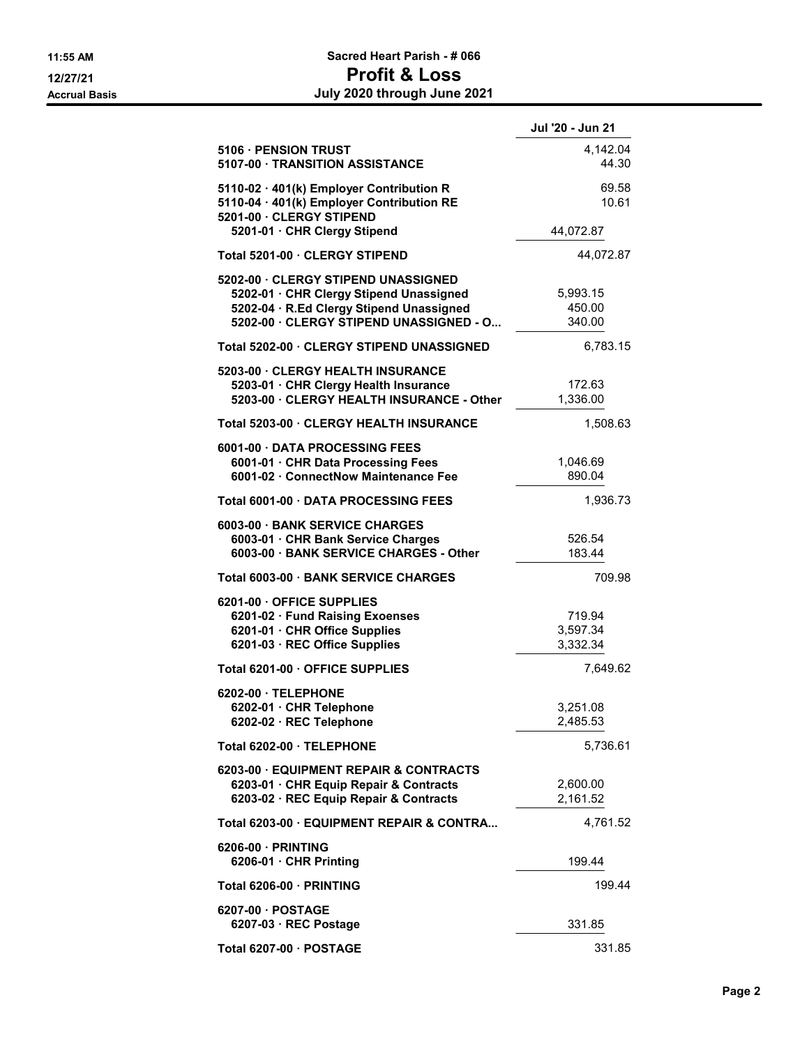|                                                                                                                                                                       | Jul '20 - Jun 21               |
|-----------------------------------------------------------------------------------------------------------------------------------------------------------------------|--------------------------------|
| 5106 · PENSION TRUST<br>5107-00 · TRANSITION ASSISTANCE                                                                                                               | 4,142.04<br>44.30              |
| 5110-02 · 401(k) Employer Contribution R<br>5110-04 · 401(k) Employer Contribution RE<br>5201-00 · CLERGY STIPEND                                                     | 69.58<br>10.61                 |
| 5201-01 · CHR Clergy Stipend                                                                                                                                          | 44,072.87                      |
| Total 5201-00 · CLERGY STIPEND                                                                                                                                        | 44,072.87                      |
| 5202-00 · CLERGY STIPEND UNASSIGNED<br>5202-01 · CHR Clergy Stipend Unassigned<br>5202-04 · R.Ed Clergy Stipend Unassigned<br>5202-00 · CLERGY STIPEND UNASSIGNED - O | 5,993.15<br>450.00<br>340.00   |
| Total 5202-00 · CLERGY STIPEND UNASSIGNED                                                                                                                             | 6,783.15                       |
| 5203-00 · CLERGY HEALTH INSURANCE<br>5203-01 · CHR Clergy Health Insurance<br>5203-00 · CLERGY HEALTH INSURANCE - Other                                               | 172.63<br>1,336.00             |
| Total 5203-00 · CLERGY HEALTH INSURANCE                                                                                                                               | 1,508.63                       |
| 6001-00 DATA PROCESSING FEES<br>6001-01 · CHR Data Processing Fees<br>6001-02 · ConnectNow Maintenance Fee                                                            | 1,046.69<br>890.04             |
| Total 6001-00 · DATA PROCESSING FEES                                                                                                                                  | 1,936.73                       |
| 6003-00 · BANK SERVICE CHARGES<br>6003-01 · CHR Bank Service Charges<br>6003-00 · BANK SERVICE CHARGES - Other                                                        | 526.54<br>183.44               |
| Total 6003-00 · BANK SERVICE CHARGES                                                                                                                                  | 709.98                         |
| 6201-00 OFFICE SUPPLIES<br>6201-02 · Fund Raising Exoenses<br>6201-01 · CHR Office Supplies<br>6201-03 · REC Office Supplies                                          | 719.94<br>3,597.34<br>3,332.34 |
| Total 6201-00 · OFFICE SUPPLIES                                                                                                                                       | 7,649.62                       |
| 6202-00 · TELEPHONE<br>6202-01 · CHR Telephone<br>6202-02 · REC Telephone                                                                                             | 3,251.08<br>2,485.53           |
| Total 6202-00 · TELEPHONE                                                                                                                                             | 5,736.61                       |
| 6203-00 · EQUIPMENT REPAIR & CONTRACTS<br>6203-01 · CHR Equip Repair & Contracts<br>6203-02 · REC Equip Repair & Contracts                                            | 2,600.00<br>2,161.52           |
| Total 6203-00 · EQUIPMENT REPAIR & CONTRA                                                                                                                             | 4,761.52                       |
| 6206-00 · PRINTING<br>6206-01 $\cdot$ CHR Printing                                                                                                                    | 199.44                         |
| Total 6206-00 · PRINTING                                                                                                                                              | 199.44                         |
| 6207-00 · POSTAGE<br>6207-03 $\cdot$ REC Postage                                                                                                                      | 331.85                         |
| Total 6207-00 · POSTAGE                                                                                                                                               | 331.85                         |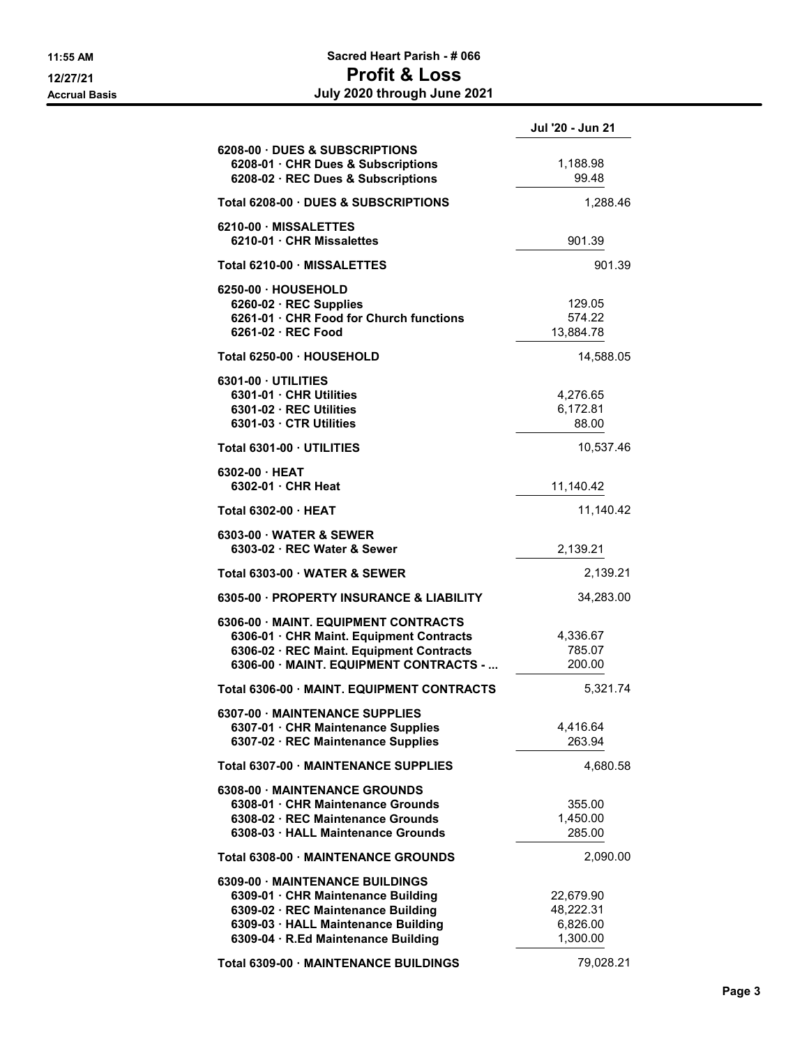## 11:55 AM Sacred Heart Parish - # 066 12/27/21 Profit & Loss Accrual Basis July 2020 through June 2021

|                                                                                                                                                                                           | Jul '20 - Jun 21                               |
|-------------------------------------------------------------------------------------------------------------------------------------------------------------------------------------------|------------------------------------------------|
| 6208-00 DUES & SUBSCRIPTIONS<br>6208-01 · CHR Dues & Subscriptions<br>6208-02 · REC Dues & Subscriptions                                                                                  | 1,188.98<br>99.48                              |
| Total 6208-00 · DUES & SUBSCRIPTIONS                                                                                                                                                      | 1,288.46                                       |
| 6210-00 MISSALETTES<br>6210-01 · CHR Missalettes                                                                                                                                          | 901.39                                         |
| Total 6210-00 · MISSALETTES                                                                                                                                                               | 901.39                                         |
| 6250-00 · HOUSEHOLD<br>$6260-02 \cdot$ REC Supplies<br>6261-01 · CHR Food for Church functions<br>6261-02 · REC Food                                                                      | 129.05<br>574.22<br>13,884.78                  |
| Total 6250-00 · HOUSEHOLD                                                                                                                                                                 | 14,588.05                                      |
| 6301-00 · UTILITIES<br>6301-01 · CHR Utilities<br>6301-02 · REC Utilities<br>6301-03 · CTR Utilities                                                                                      | 4,276.65<br>6,172.81<br>88.00                  |
| Total 6301-00 · UTILITIES                                                                                                                                                                 | 10,537.46                                      |
| $6302-00$ HEAT<br>6302-01 · CHR Heat                                                                                                                                                      | 11,140.42                                      |
| Total 6302-00 · HEAT                                                                                                                                                                      | 11,140.42                                      |
| 6303-00 · WATER & SEWER<br>6303-02 · REC Water & Sewer                                                                                                                                    | 2,139.21                                       |
| Total 6303-00 · WATER & SEWER                                                                                                                                                             | 2,139.21                                       |
| 6305-00 · PROPERTY INSURANCE & LIABILITY                                                                                                                                                  | 34,283.00                                      |
| 6306-00 · MAINT, EQUIPMENT CONTRACTS<br>6306-01 · CHR Maint. Equipment Contracts<br>6306-02 · REC Maint. Equipment Contracts<br>6306-00 · MAINT. EQUIPMENT CONTRACTS -                    | 4,336.67<br>785.07<br>200.00                   |
| Total 6306-00 · MAINT, EQUIPMENT CONTRACTS                                                                                                                                                | 5,321.74                                       |
| 6307-00 · MAINTENANCE SUPPLIES<br>6307-01 · CHR Maintenance Supplies<br>6307-02 · REC Maintenance Supplies                                                                                | 4,416.64<br>263.94                             |
| Total 6307-00 · MAINTENANCE SUPPLIES                                                                                                                                                      | 4,680.58                                       |
| 6308-00 · MAINTENANCE GROUNDS<br>6308-01 · CHR Maintenance Grounds<br>6308-02 · REC Maintenance Grounds<br>6308-03 · HALL Maintenance Grounds                                             | 355.00<br>1,450.00<br>285.00                   |
| Total 6308-00 · MAINTENANCE GROUNDS                                                                                                                                                       | 2,090.00                                       |
| 6309-00 · MAINTENANCE BUILDINGS<br>6309-01 · CHR Maintenance Building<br>6309-02 · REC Maintenance Building<br>6309-03 · HALL Maintenance Building<br>6309-04 · R.Ed Maintenance Building | 22,679.90<br>48,222.31<br>6,826.00<br>1,300.00 |
| Total 6309-00 · MAINTENANCE BUILDINGS                                                                                                                                                     | 79,028.21                                      |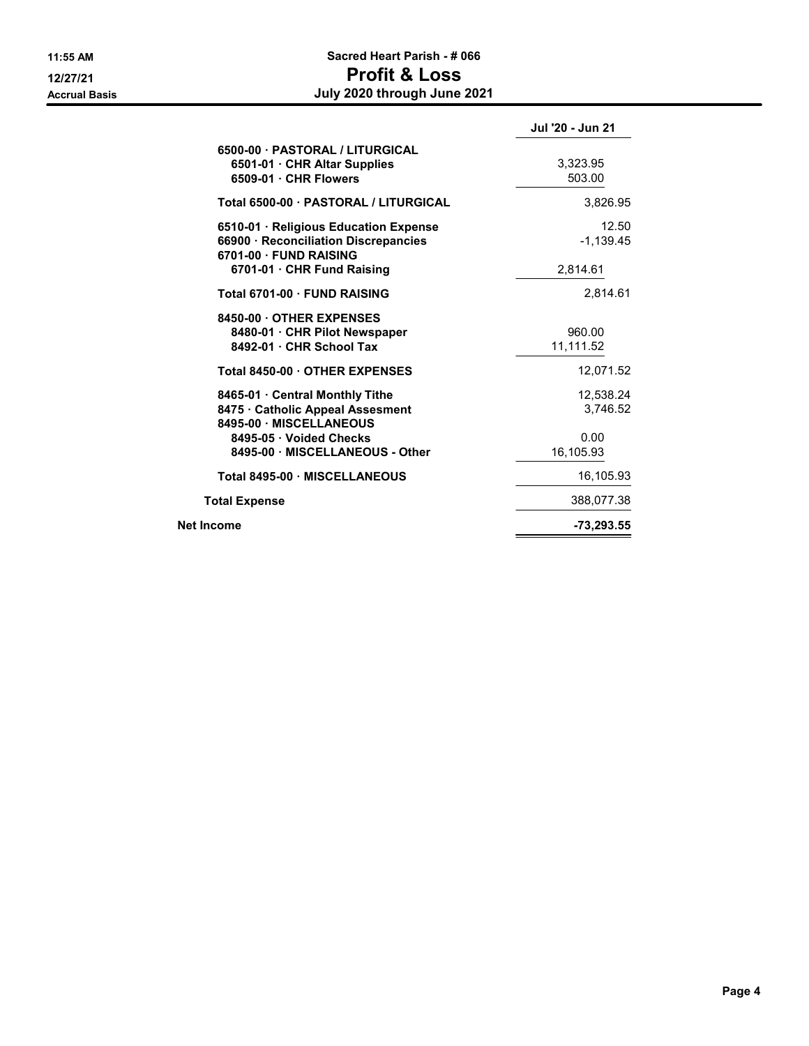## 11:55 AM Sacred Heart Parish - # 066 12/27/21 Profit & Loss Accrual Basis July 2020 through June 2021

|                                                                                                         | Jul '20 - Jun 21      |
|---------------------------------------------------------------------------------------------------------|-----------------------|
| 6500-00 · PASTORAL / LITURGICAL<br>6501-01 · CHR Altar Supplies<br>$6509-01 \cdot$ CHR Flowers          | 3,323.95<br>503.00    |
| Total 6500-00 · PASTORAL / LITURGICAL                                                                   | 3,826.95              |
| 6510-01 · Religious Education Expense<br>66900 · Reconciliation Discrepancies<br>6701-00 · FUND RAISING | 12.50<br>$-1.139.45$  |
| 6701-01 · CHR Fund Raising                                                                              | 2,814.61              |
| Total 6701-00 · FUND RAISING                                                                            | 2,814.61              |
| 8450-00 OTHER EXPENSES<br>8480-01 · CHR Pilot Newspaper<br>8492-01 · CHR School Tax                     | 960.00<br>11,111.52   |
| Total 8450-00 · OTHER EXPENSES                                                                          | 12,071.52             |
| 8465-01 · Central Monthly Tithe<br>8475 · Catholic Appeal Assesment<br>8495-00 MISCELLANEOUS            | 12,538.24<br>3,746.52 |
| 8495-05 · Voided Checks<br>8495-00 · MISCELLANEOUS - Other                                              | 0.00<br>16,105.93     |
| Total 8495-00 · MISCELLANEOUS                                                                           | 16.105.93             |
| <b>Total Expense</b>                                                                                    | 388,077.38            |
| Net Income                                                                                              | $-73,293.55$          |